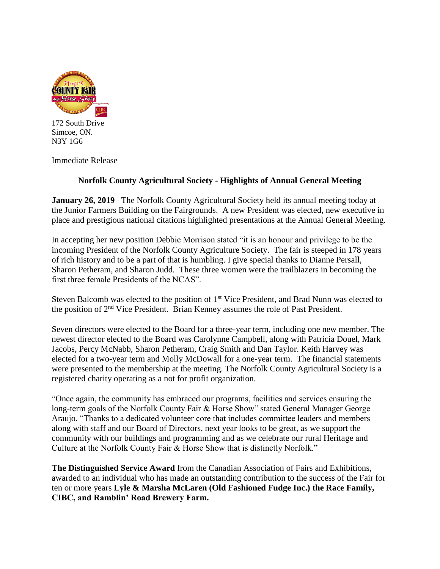

172 South Drive Simcoe, ON. N3Y 1G6

Immediate Release

## **Norfolk County Agricultural Society - Highlights of Annual General Meeting**

**January 26, 2019**– The Norfolk County Agricultural Society held its annual meeting today at the Junior Farmers Building on the Fairgrounds. A new President was elected, new executive in place and prestigious national citations highlighted presentations at the Annual General Meeting.

In accepting her new position Debbie Morrison stated "it is an honour and privilege to be the incoming President of the Norfolk County Agriculture Society. The fair is steeped in 178 years of rich history and to be a part of that is humbling. I give special thanks to Dianne Persall, Sharon Petheram, and Sharon Judd. These three women were the trailblazers in becoming the first three female Presidents of the NCAS".

Steven Balcomb was elected to the position of 1<sup>st</sup> Vice President, and Brad Nunn was elected to the position of 2nd Vice President. Brian Kenney assumes the role of Past President.

Seven directors were elected to the Board for a three-year term, including one new member. The newest director elected to the Board was Carolynne Campbell, along with Patricia Douel, Mark Jacobs, Percy McNabb, Sharon Petheram, Craig Smith and Dan Taylor. Keith Harvey was elected for a two-year term and Molly McDowall for a one-year term. The financial statements were presented to the membership at the meeting. The Norfolk County Agricultural Society is a registered charity operating as a not for profit organization.

"Once again, the community has embraced our programs, facilities and services ensuring the long-term goals of the Norfolk County Fair & Horse Show" stated General Manager George Araujo. "Thanks to a dedicated volunteer core that includes committee leaders and members along with staff and our Board of Directors, next year looks to be great, as we support the community with our buildings and programming and as we celebrate our rural Heritage and Culture at the Norfolk County Fair & Horse Show that is distinctly Norfolk."

**The Distinguished Service Award** from the Canadian Association of Fairs and Exhibitions, awarded to an individual who has made an outstanding contribution to the success of the Fair for ten or more years **Lyle & Marsha McLaren (Old Fashioned Fudge Inc.) the Race Family, CIBC, and Ramblin' Road Brewery Farm.**